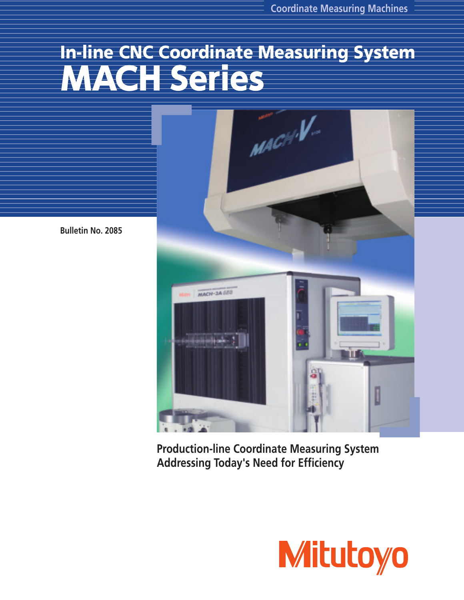# In-line CNC Coordinate Measuring System WACHSeries



**Production-line Coordinate Measuring System Addressing Today's Need for Efficiency**



**Bulletin No. 2085**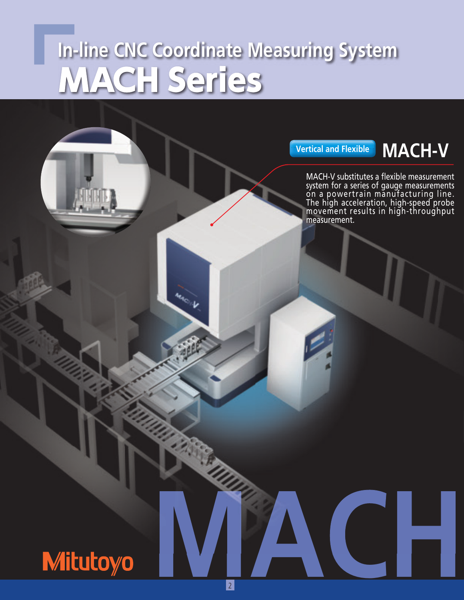# **In-line CNC Coordinate Measuring System MACH Series**

**MONTH** 

**Vertical and Flexible MACH-V**

MACH-V substitutes a flexible measurement system for a series of gauge measurements on a powertrain manufacturing line. The high acceleration, high-speed probe movement results in high-throughput measurement.

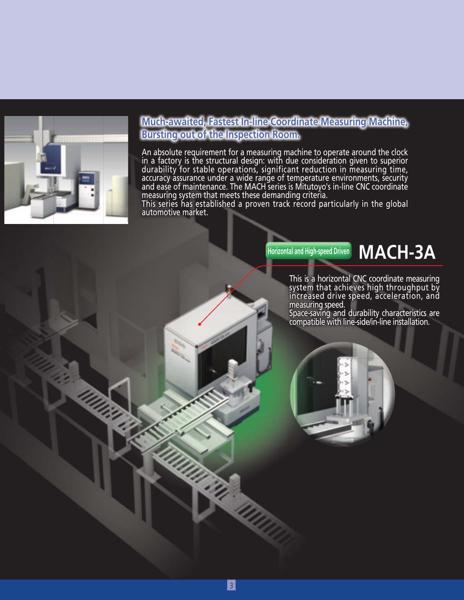

#### **Much-awaited, Fastest In-line Coordinate Measuring Machine, Bursting out of the Inspection Room.**

An absolute requirement for a measuring machine to operate around the clock in a factory is the structural design: with due consideration given to superior<br>durability for stable operations, significant reduction in measuring time, accuracy assurance under a wide range of temperature environments, security<br>and ease of maintenance. The MACH series is Mitutoyo's in-line CNC coordinate measuring system that meets these demanding criteria.

This series has established a proven track record particularly in the global<br>automotive market.

### **Horizontal and High-speed Driven MACH-3A**

This is a horizontal CNC coordinate measuring system that achieves high throughput by increased drive speed, acceleration, and measuring speed.

Space-saving and durability characteristics are compatible with line-side/in-line installation.

**UTTI**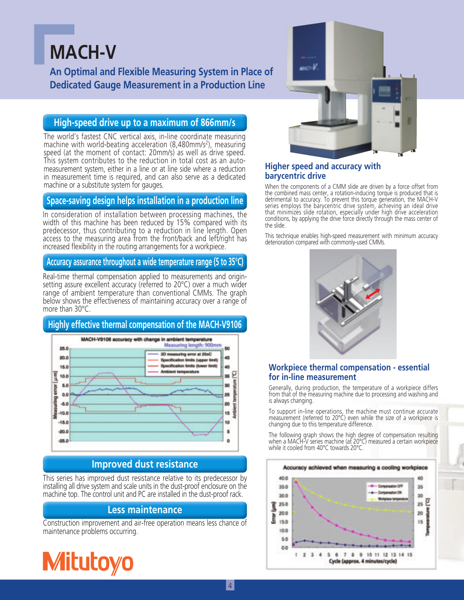### **MACH-V**

**An Optimal and Flexible Measuring System in Place of Dedicated Gauge Measurement in a Production Line**

#### **High-speed drive up to a maximum of 866mm/s**

The world's fastest CNC vertical axis, in-line coordinate measuring machine with world-beating acceleration (8,480mm/s<sup>2</sup>), measuring speed (at the moment of contact: 20mm/s) as well as drive speed. This system contributes to the reduction in total cost as an automeasurement system, either in a line or at line side where a reduction in measurement time is required, and can also serve as a dedicated machine or a substitute system for gauges.

#### **Space-saving design helps installation in a production line**

In consideration of installation between processing machines, the width of this machine has been reduced by 15% compared with its predecessor, thus contributing to a reduction in line length. Open access to the measuring area from the front/back and left/right has increased flexibility in the routing arrangements for a workpiece.

#### **Accuracy assurance throughout a wide temperature range (5 to 35°C)**

Real-time thermal compensation applied to measurements and originsetting assure excellent accuracy (referred to 20°C) over a much wider range of ambient temperature than conventional CMMs. The graph below shows the effectiveness of maintaining accuracy over a range of more than 30°C.

#### **Highly effective thermal compensation of the MACH-V9106**



#### **Improved dust resistance**

This series has improved dust resistance relative to its predecessor by installing all drive system and scale units in the dust-proof enclosure on the machine top. The control unit and PC are installed in the dust-proof rack.

#### **Less maintenance**

Construction improvement and air-free operation means less chance of maintenance problems occurring.





#### **Higher speed and accuracy with barycentric drive**

When the components of a CMM slide are driven by a force offset from the combined mass center, a rotation-inducing torque is produced that is detrimental to accuracy. To prevent this torque generation, the MACH-V series employs the barycentric drive system, achieving an ideal drive that minimizes slide rotation, especially under high drive acceleration conditions, by applying the drive force directly through the mass center of the slide.

This technique enables high-speed measurement with minimum accuracy deterioration compared with commonly-used CMMs.



#### **Workpiece thermal compensation - essential for in-line measurement**

Generally, during production, the temperature of a workpiece differs from that of the measuring machine due to processing and washing and is always changing.

To support in-line operations, the machine must continue accurate measurement (referred to 20°C) even while the size of a workpiece is changing due to this temperature difference.

The following graph shows the high degree of compensation resulting when a MACH-V series machine (at 20°C) measured a certain workpiece while it cooled from 40°C towards 20°C.

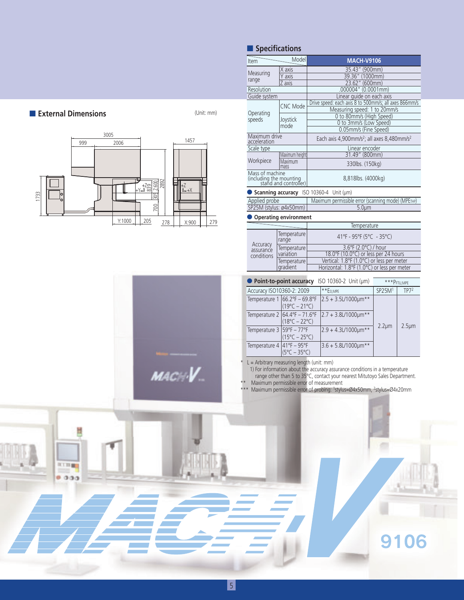|                                      | Item  |                                                                     | Model                                                                          | <b>MACH-V9106</b>                                                                                                                                                                                                                                                                    |                    |                  |  |
|--------------------------------------|-------|---------------------------------------------------------------------|--------------------------------------------------------------------------------|--------------------------------------------------------------------------------------------------------------------------------------------------------------------------------------------------------------------------------------------------------------------------------------|--------------------|------------------|--|
|                                      |       | Measuring                                                           | $X$ axis                                                                       | 35.43" (900mm)                                                                                                                                                                                                                                                                       |                    |                  |  |
|                                      | range |                                                                     | Y axis                                                                         | 39.36" (1000mm)                                                                                                                                                                                                                                                                      |                    |                  |  |
|                                      |       |                                                                     | Z axis                                                                         | 23.62" (600mm)                                                                                                                                                                                                                                                                       |                    |                  |  |
|                                      |       | Resolution<br>Guide system                                          |                                                                                | .000004" (0.0001mm)<br>Linear quide on each axis                                                                                                                                                                                                                                     |                    |                  |  |
|                                      |       |                                                                     | <b>CNC Mode</b>                                                                | Drive speed: each axis 8 to 500mm/s; all axes 866mm/s                                                                                                                                                                                                                                |                    |                  |  |
| External Dimensions<br>(Unit: mm)    |       | Operating                                                           |                                                                                | Measuring speed: 1 to 20mm/s                                                                                                                                                                                                                                                         |                    |                  |  |
|                                      |       | speeds                                                              | Joystick                                                                       | 0 to 80mm/s (High Speed)                                                                                                                                                                                                                                                             |                    |                  |  |
|                                      |       |                                                                     | mode                                                                           | 0 to 3mm/s (Low Speed)<br>0.05mm/s (Fine Speed)                                                                                                                                                                                                                                      |                    |                  |  |
| 3005                                 |       | Maximum drive                                                       |                                                                                |                                                                                                                                                                                                                                                                                      |                    |                  |  |
| 1457<br>999<br>2006                  |       | acceleration                                                        |                                                                                | Each axis 4,900mm/s <sup>2</sup> ; all axes 8,480mm/s <sup>2</sup>                                                                                                                                                                                                                   |                    |                  |  |
|                                      |       | Scale type                                                          |                                                                                | Linear encoder<br>31.49" (800mm)                                                                                                                                                                                                                                                     |                    |                  |  |
|                                      |       | Workpiece                                                           | Maximum height<br>Maximum                                                      |                                                                                                                                                                                                                                                                                      |                    |                  |  |
|                                      |       |                                                                     | mass                                                                           | 330lbs. (150kg)                                                                                                                                                                                                                                                                      |                    |                  |  |
|                                      |       |                                                                     | Mass of machine<br>(including the mounting<br>stand and controller)            | 8,818lbs. (4000kg)                                                                                                                                                                                                                                                                   |                    |                  |  |
| $t^Z_{++X}$                          |       |                                                                     |                                                                                |                                                                                                                                                                                                                                                                                      |                    |                  |  |
| 305                                  |       | Scanning accuracy ISO 10360-4 Unit (µm)                             |                                                                                |                                                                                                                                                                                                                                                                                      |                    |                  |  |
| 1733                                 |       | Maximum permissible error (scanning mode) (МРЕтнр)<br>Applied probe |                                                                                |                                                                                                                                                                                                                                                                                      |                    |                  |  |
| 700                                  |       |                                                                     | SP25M (stylus: ø4x50mm)                                                        | $5.0 \mu m$                                                                                                                                                                                                                                                                          |                    |                  |  |
|                                      |       |                                                                     | Operating environment                                                          |                                                                                                                                                                                                                                                                                      |                    |                  |  |
| Y:1000<br>205<br>X:900<br>279<br>278 |       |                                                                     |                                                                                | Temperature                                                                                                                                                                                                                                                                          |                    |                  |  |
|                                      |       |                                                                     | Temperature                                                                    | 41°F - 95°F (5°C - 35°C)                                                                                                                                                                                                                                                             |                    |                  |  |
|                                      |       | Accuracy                                                            | range                                                                          |                                                                                                                                                                                                                                                                                      |                    |                  |  |
|                                      |       | assurance                                                           | Temperature<br>variation                                                       | 3.6°F (2.0°C) / hour<br>18.0°F (10.0°C) or less per 24 hours                                                                                                                                                                                                                         |                    |                  |  |
|                                      |       | conditions                                                          | Temperature                                                                    | Vertical: 1.8°F (1.0°C) or less per meter                                                                                                                                                                                                                                            |                    |                  |  |
|                                      |       |                                                                     | gradient                                                                       | Horizontal: 1.8°F (1.0°C) or less per meter                                                                                                                                                                                                                                          |                    |                  |  |
|                                      |       |                                                                     |                                                                                |                                                                                                                                                                                                                                                                                      |                    |                  |  |
|                                      |       |                                                                     |                                                                                | Point-to-point accuracy ISO 10360-2 Unit (µm)                                                                                                                                                                                                                                        |                    | *** PFTU, MPE    |  |
|                                      |       |                                                                     | Accuracy ISO10360-2: 2009                                                      | **EO,MPE                                                                                                                                                                                                                                                                             | SP25M <sup>1</sup> | TP7 <sup>2</sup> |  |
|                                      |       |                                                                     | Temperature 1 66.2°F - 69.8°F                                                  | $2.5 + 3.5$ L/1000µm**                                                                                                                                                                                                                                                               |                    |                  |  |
|                                      |       |                                                                     | $(19^{\circ}C - 21^{\circ}C)$                                                  |                                                                                                                                                                                                                                                                                      |                    |                  |  |
|                                      |       |                                                                     | Temperature 2 $64.4^{\circ}F - 71.6^{\circ}F$<br>$(18^{\circ}C - 22^{\circ}C)$ | $2.7 + 3.8$ L/1000 $\mu$ m**                                                                                                                                                                                                                                                         |                    |                  |  |
|                                      |       |                                                                     | Temperature $3 59^{\circ}F - 77^{\circ}F $                                     | 2.9 + 4.3L/1000µm**                                                                                                                                                                                                                                                                  | $2.2 \mu m$        | $2.5 \mu m$      |  |
|                                      |       |                                                                     | $(15^{\circ}C - 25^{\circ}C)$                                                  |                                                                                                                                                                                                                                                                                      |                    |                  |  |
|                                      |       |                                                                     | Temperature 4 $ 41^{\circ}F - 95^{\circ}F $                                    | 3.6 + 5.8L/1000µm**                                                                                                                                                                                                                                                                  |                    |                  |  |
|                                      |       |                                                                     | $(5^{\circ}C - 35^{\circ}C)$                                                   |                                                                                                                                                                                                                                                                                      |                    |                  |  |
| MAC<br>花工四量<br>0.000                 | $* *$ |                                                                     | $L =$ Arbitrary measuring length (unit: mm)                                    | 1) For information about the accuracy assurance conditions in a temperature<br>range other than 5 to 35°C, contact your nearest Mitutoyo Sales Department.<br>Maximum permissible error of measurement<br>*** Maximum permissible error of probing: 1stylus=Ø4x50mm, 2stylus=Ø4x20mm |                    |                  |  |
|                                      |       |                                                                     |                                                                                |                                                                                                                                                                                                                                                                                      |                    | 9106             |  |

■ **Specifications**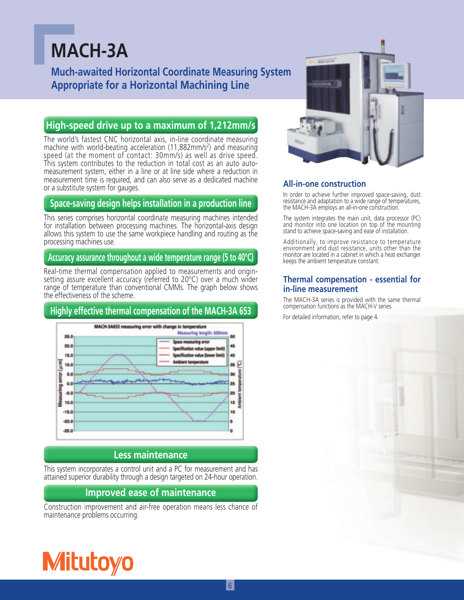## **MACH-3A**

**Much-awaited Horizontal Coordinate Measuring System Appropriate for a Horizontal Machining Line**

#### **High-speed drive up to a maximum of 1,212mm/s**

The world's fastest CNC horizontal axis, in-line coordinate measuring machine with world-beating acceleration  $(11,882 \text{mm/s}^2)$  and measuring speed (at the moment of contact: 30mm/s) as well as drive speed. This system contributes to the reduction in total cost as an auto automeasurement system, either in a line or at line side where a reduction in measurement time is required, and can also serve as a dedicated machine or a substitute system for gauges.

#### **Space-saving design helps installation in a production line**

This series comprises horizontal coordinate measuring machines intended for installation between processing machines. The horizontal-axis design allows this system to use the same workpiece handling and routing as the processing machines use.

#### **Accuracy assurance throughout a wide temperature range (5 to 40°C)**

Real-time thermal compensation applied to measurements and originsetting assure excellent accuracy (referred to 20°C) over a much wider range of temperature than conventional CMMs. The graph below shows the effectiveness of the scheme.

#### **Highly effective thermal compensation of the MACH-3A 653**



#### **Less maintenance**

This system incorporates a control unit and a PC for measurement and has attained superior durability through a design targeted on 24-hour operation.

#### **Improved ease of maintenance**

Construction improvement and air-free operation means less chance of maintenance problems occurring.



#### **All-in-one construction**

In order to achieve further improved space-saving, dust resistance and adaptation to a wide range of temperatures, the MACH-3A employs an all-in-one construction.

The system integrates the main unit, data processor (PC) and monitor into one location on top of the mounting stand to achieve space-saving and ease of installation.

Additionally, to improve resistance to temperature environment and dust resistance, units other than the monitor are located in a cabinet in which a heat exchanger keeps the ambient temperature constant.

#### **Thermal compensation - essential for in-line measurement**

The MACH-3A series is provided with the same thermal compensation functions as the MACH-V series.

For detailed information, refer to page 4.

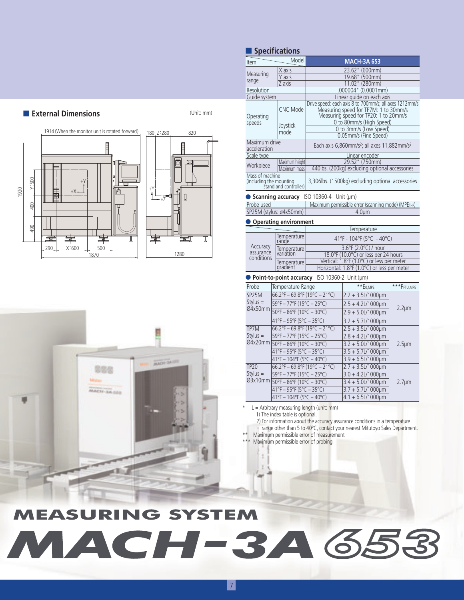

#### **Item Model** Model **MACH-3A 653** ■ **Specifications**

| Measuring                                        | X axis                                                     | 23.62" (600mm)<br>19.68" (500mm)                                    |                                                                                                                                          |               |  |  |  |  |
|--------------------------------------------------|------------------------------------------------------------|---------------------------------------------------------------------|------------------------------------------------------------------------------------------------------------------------------------------|---------------|--|--|--|--|
| range                                            | Y axis                                                     |                                                                     |                                                                                                                                          |               |  |  |  |  |
|                                                  | Z axis                                                     |                                                                     | 11.02" (280mm)<br>.000004" (0.0001mm)                                                                                                    |               |  |  |  |  |
| Resolution                                       |                                                            |                                                                     |                                                                                                                                          |               |  |  |  |  |
| Guide system                                     |                                                            | Linear guide on each axis                                           |                                                                                                                                          |               |  |  |  |  |
| Operating                                        | <b>CNC Mode</b>                                            |                                                                     | Drive speed: each axis 8 to 700mm/s; all axes 1212mm/s<br>Measuring speed for TP7M: 1 to 30mm/s<br>Measuring speed for TP7M: 1 to 30mm/s |               |  |  |  |  |
| speeds                                           |                                                            | 0 to 80mm/s (High Speed)                                            |                                                                                                                                          |               |  |  |  |  |
|                                                  | Joystick<br>mode                                           | 0 to 3mm/s (Low Speed)                                              |                                                                                                                                          |               |  |  |  |  |
|                                                  |                                                            | 0.05mm/s (Fine Speed)                                               |                                                                                                                                          |               |  |  |  |  |
| Maximum drive<br>acceleration                    |                                                            | Each axis 6,860mm/s <sup>2</sup> ; all axes 11,882mm/s <sup>2</sup> |                                                                                                                                          |               |  |  |  |  |
| Scale type                                       |                                                            | Linear encoder                                                      |                                                                                                                                          |               |  |  |  |  |
| Workpiece                                        | Maximum height<br>Maximum mass                             |                                                                     | 29.52" (750mm)<br>440lbs. (200kg) excluding optional accessories                                                                         |               |  |  |  |  |
| Mass of machine                                  |                                                            |                                                                     |                                                                                                                                          |               |  |  |  |  |
| (including the mounting<br>stand and controller) |                                                            |                                                                     | 3,306lbs. (1500kg) excluding optional accessories                                                                                        |               |  |  |  |  |
|                                                  |                                                            | Scanning accuracy ISO 10360-4 Unit (µm)                             |                                                                                                                                          |               |  |  |  |  |
| Probe used                                       |                                                            |                                                                     | Maximum permissible error (scanning mode) (МРЕтнр)                                                                                       |               |  |  |  |  |
|                                                  | SP25M (stylus: ø4x50mm)                                    |                                                                     | 4.0 <sub>µ</sub>                                                                                                                         |               |  |  |  |  |
|                                                  | Operating environment                                      |                                                                     |                                                                                                                                          |               |  |  |  |  |
|                                                  |                                                            | Temperature                                                         |                                                                                                                                          |               |  |  |  |  |
| Temperature<br>rande<br>Accuracy                 |                                                            | 41°F - 104°F (5°C - 40°C)                                           |                                                                                                                                          |               |  |  |  |  |
| assurance                                        | Temperature<br>variation                                   | 3.6°F (2.0°C) / hour<br>18.0°F (10.0°C) or less per 24 hours        |                                                                                                                                          |               |  |  |  |  |
| conditions                                       | Temperature                                                |                                                                     |                                                                                                                                          |               |  |  |  |  |
|                                                  | gradient                                                   |                                                                     | Vertical: 1.8°F (1.0°C) or less per meter<br>Horizontal: 1.8°F (1.0°C) or less per meter                                                 |               |  |  |  |  |
|                                                  |                                                            | Point-to-point accuracy ISO 10360-2 Unit (um)                       |                                                                                                                                          |               |  |  |  |  |
| Probe                                            | Temperature Range                                          |                                                                     | $**E0,MPE$                                                                                                                               | *** PFTU, MPE |  |  |  |  |
| SP25M                                            | 66.2°F - 69.8°F (19°C - 21°C)                              |                                                                     | $2.2 + 3.5$ L/1000µm                                                                                                                     |               |  |  |  |  |
| $Stylus =$<br>Ø4x50mm                            | 59°F - 77°F (15°C - 25°C)                                  |                                                                     | $2.5 + 4.2$ L/1000µm                                                                                                                     |               |  |  |  |  |
|                                                  | 50°F - 86°F (10°C - 30°C)                                  |                                                                     | $2.9 + 5.0$ L/1000 $\mu$ m                                                                                                               | $2.2 \mu m$   |  |  |  |  |
|                                                  | 41°F - 95°F (5°C - 35°C)                                   |                                                                     | $3.2 + 5.7$ L/1000µm                                                                                                                     |               |  |  |  |  |
| TP7M                                             | $66.2^{\circ}F - 69.8^{\circ}F(19^{\circ}C - 21^{\circ}C)$ |                                                                     | $2.5 + 3.5$ L/1000µm                                                                                                                     |               |  |  |  |  |
| Stylus $=$                                       | 59°F - 77°F (15°C - 25°C)                                  |                                                                     | $2.8 + 4.21/1000 \mu m$                                                                                                                  |               |  |  |  |  |
| $\varnothing$ 4x20mm                             | $50^{\circ}F - 86^{\circ}F (10^{\circ}C - 30^{\circ}C)$    |                                                                     | $3.2 + 5.01/1000 \mu m$<br>$2.5 \mu m$                                                                                                   |               |  |  |  |  |
|                                                  | $41^{\circ}F - 95^{\circ}F (5^{\circ}C - 35^{\circ}C)$     |                                                                     | $3.5 + 5.71/1000 \mu m$                                                                                                                  |               |  |  |  |  |
|                                                  | $41^{\circ}F - 104^{\circ}F (5^{\circ}C - 40^{\circ}C)$    |                                                                     | $3.9 + 6.5$ L/1000µm                                                                                                                     |               |  |  |  |  |
| <b>TP20</b>                                      | $66.2$ °F - 69.8°F (19°C - 21°C)                           |                                                                     | $2.7 + 3.5$ L/1000 $\mu$ m                                                                                                               |               |  |  |  |  |
| $Stvlus =$                                       | 59°F - 77°F (15°C - 25°C)                                  |                                                                     | $3.0 + 4.2$ L/1000µm                                                                                                                     |               |  |  |  |  |
| $\varnothing$ 3x10mm                             | $50^{\circ}F - 86^{\circ}F (10^{\circ}C - 30^{\circ}C)$    |                                                                     | $3.4 + 5.01/1000 \mu m$                                                                                                                  | $2.7 \mu m$   |  |  |  |  |
|                                                  | $41^{\circ}F - 95^{\circ}F (5^{\circ}C - 35^{\circ}C)$     |                                                                     | 3.7 + 5.7L/1000um                                                                                                                        |               |  |  |  |  |
|                                                  | $110F$ $1010F$ $(00C)$ $100C$                              |                                                                     | $11.6$ El $11000$                                                                                                                        |               |  |  |  |  |

2) For information about the accuracy assurance conditions in a temperature

range other than 5 to 40°C, contact your nearest Mitutoyo Sales Department.

# **MEASURING SYSTEM** MACH-3A653